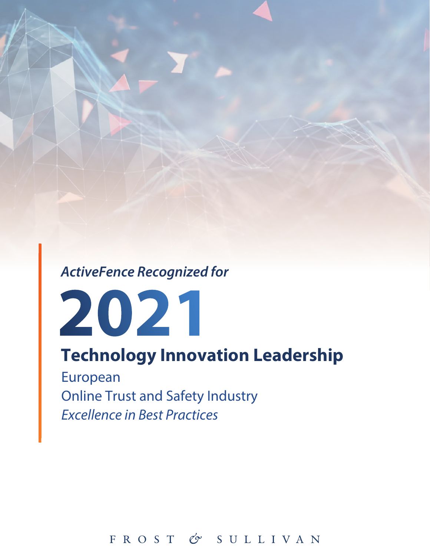*ActiveFence Recognized for*



# **Technology Innovation Leadership**

European Online Trust and Safety Industry *Excellence in Best Practices*

FROST & SULLIVAN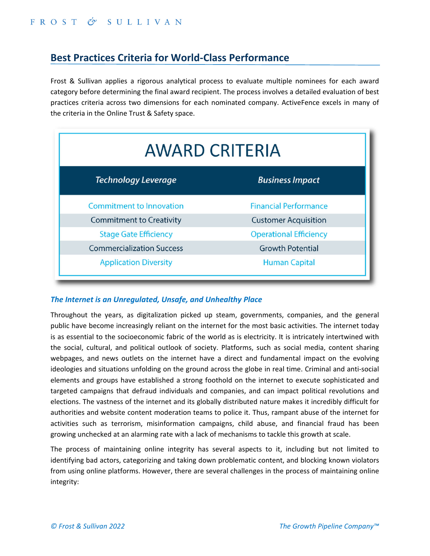# **Best Practices Criteria for World‐Class Performance**

Frost & Sullivan applies a rigorous analytical process to evaluate multiple nominees for each award category before determining the final award recipient. The process involves a detailed evaluation of best practices criteria across two dimensions for each nominated company. ActiveFence excels in many of the criteria in the Online Trust & Safety space.

| <b>AWARD CRITERIA</b>            |                               |
|----------------------------------|-------------------------------|
| Technology Leverage              | <b>Business Impact</b>        |
| <b>Commitment to Innovation</b>  | <b>Financial Performance</b>  |
| <b>Commitment to Creativity</b>  | <b>Customer Acquisition</b>   |
| <b>Stage Gate Efficiency</b>     | <b>Operational Efficiency</b> |
| <b>Commercialization Success</b> | <b>Growth Potential</b>       |
| <b>Application Diversity</b>     | <b>Human Capital</b>          |

#### *The Internet is an Unregulated, Unsafe, and Unhealthy Place*

Throughout the years, as digitalization picked up steam, governments, companies, and the general public have become increasingly reliant on the internet for the most basic activities. The internet today is as essential to the socioeconomic fabric of the world as is electricity. It is intricately intertwined with the social, cultural, and political outlook of society. Platforms, such as social media, content sharing webpages, and news outlets on the internet have a direct and fundamental impact on the evolving ideologies and situations unfolding on the ground across the globe in real time. Criminal and anti‐social elements and groups have established a strong foothold on the internet to execute sophisticated and targeted campaigns that defraud individuals and companies, and can impact political revolutions and elections. The vastness of the internet and its globally distributed nature makes it incredibly difficult for authorities and website content moderation teams to police it. Thus, rampant abuse of the internet for activities such as terrorism, misinformation campaigns, child abuse, and financial fraud has been growing unchecked at an alarming rate with a lack of mechanisms to tackle this growth at scale.

The process of maintaining online integrity has several aspects to it, including but not limited to identifying bad actors, categorizing and taking down problematic content, and blocking known violators from using online platforms. However, there are several challenges in the process of maintaining online integrity: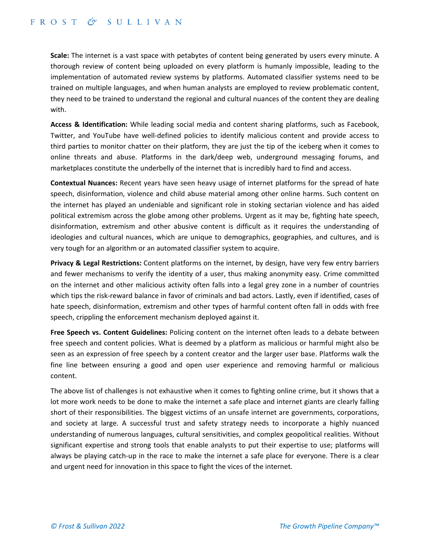**Scale:** The internet is a vast space with petabytes of content being generated by users every minute. A thorough review of content being uploaded on every platform is humanly impossible, leading to the implementation of automated review systems by platforms. Automated classifier systems need to be trained on multiple languages, and when human analysts are employed to review problematic content, they need to be trained to understand the regional and cultural nuances of the content they are dealing with.

**Access & Identification:** While leading social media and content sharing platforms, such as Facebook, Twitter, and YouTube have well‐defined policies to identify malicious content and provide access to third parties to monitor chatter on their platform, they are just the tip of the iceberg when it comes to online threats and abuse. Platforms in the dark/deep web, underground messaging forums, and marketplaces constitute the underbelly of the internet that is incredibly hard to find and access.

**Contextual Nuances:** Recent years have seen heavy usage of internet platforms for the spread of hate speech, disinformation, violence and child abuse material among other online harms. Such content on the internet has played an undeniable and significant role in stoking sectarian violence and has aided political extremism across the globe among other problems. Urgent as it may be, fighting hate speech, disinformation, extremism and other abusive content is difficult as it requires the understanding of ideologies and cultural nuances, which are unique to demographics, geographies, and cultures, and is very tough for an algorithm or an automated classifier system to acquire.

**Privacy & Legal Restrictions:** Content platforms on the internet, by design, have very few entry barriers and fewer mechanisms to verify the identity of a user, thus making anonymity easy. Crime committed on the internet and other malicious activity often falls into a legal grey zone in a number of countries which tips the risk-reward balance in favor of criminals and bad actors. Lastly, even if identified, cases of hate speech, disinformation, extremism and other types of harmful content often fall in odds with free speech, crippling the enforcement mechanism deployed against it.

**Free Speech vs. Content Guidelines:** Policing content on the internet often leads to a debate between free speech and content policies. What is deemed by a platform as malicious or harmful might also be seen as an expression of free speech by a content creator and the larger user base. Platforms walk the fine line between ensuring a good and open user experience and removing harmful or malicious content.

The above list of challenges is not exhaustive when it comes to fighting online crime, but it shows that a lot more work needs to be done to make the internet a safe place and internet giants are clearly falling short of their responsibilities. The biggest victims of an unsafe internet are governments, corporations, and society at large. A successful trust and safety strategy needs to incorporate a highly nuanced understanding of numerous languages, cultural sensitivities, and complex geopolitical realities. Without significant expertise and strong tools that enable analysts to put their expertise to use; platforms will always be playing catch‐up in the race to make the internet a safe place for everyone. There is a clear and urgent need for innovation in this space to fight the vices of the internet.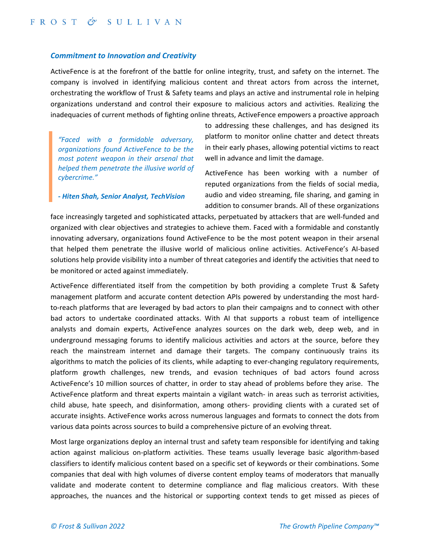#### *Commitment to Innovation and Creativity*

ActiveFence is at the forefront of the battle for online integrity, trust, and safety on the internet. The company is involved in identifying malicious content and threat actors from across the internet, orchestrating the workflow of Trust & Safety teams and plays an active and instrumental role in helping organizations understand and control their exposure to malicious actors and activities. Realizing the inadequacies of current methods of fighting online threats, ActiveFence empowers a proactive approach

*"Faced with a formidable adversary, organizations found ActiveFence to be the most potent weapon in their arsenal that helped them penetrate the illusive world of cybercrime."*

*‐ Hiten Shah, Senior Analyst, TechVision*

to addressing these challenges, and has designed its platform to monitor online chatter and detect threats in their early phases, allowing potential victims to react well in advance and limit the damage.

ActiveFence has been working with a number of reputed organizations from the fields of social media, audio and video streaming, file sharing, and gaming in addition to consumer brands. All of these organizations

face increasingly targeted and sophisticated attacks, perpetuated by attackers that are well-funded and organized with clear objectives and strategies to achieve them. Faced with a formidable and constantly innovating adversary, organizations found ActiveFence to be the most potent weapon in their arsenal that helped them penetrate the illusive world of malicious online activities. ActiveFence's AI‐based solutions help provide visibility into a number of threat categories and identify the activities that need to be monitored or acted against immediately.

ActiveFence differentiated itself from the competition by both providing a complete Trust & Safety management platform and accurate content detection APIs powered by understanding the most hard‐ to-reach platforms that are leveraged by bad actors to plan their campaigns and to connect with other bad actors to undertake coordinated attacks. With AI that supports a robust team of intelligence analysts and domain experts, ActiveFence analyzes sources on the dark web, deep web, and in underground messaging forums to identify malicious activities and actors at the source, before they reach the mainstream internet and damage their targets. The company continuously trains its algorithms to match the policies of its clients, while adapting to ever‐changing regulatory requirements, platform growth challenges, new trends, and evasion techniques of bad actors found across ActiveFence's 10 million sources of chatter, in order to stay ahead of problems before they arise. The ActiveFence platform and threat experts maintain a vigilant watch- in areas such as terrorist activities, child abuse, hate speech, and disinformation, among others‐ providing clients with a curated set of accurate insights. ActiveFence works across numerous languages and formats to connect the dots from various data points across sources to build a comprehensive picture of an evolving threat.

Most large organizations deploy an internal trust and safety team responsible for identifying and taking action against malicious on-platform activities. These teams usually leverage basic algorithm-based classifiers to identify malicious content based on a specific set of keywords or their combinations. Some companies that deal with high volumes of diverse content employ teams of moderators that manually validate and moderate content to determine compliance and flag malicious creators. With these approaches, the nuances and the historical or supporting context tends to get missed as pieces of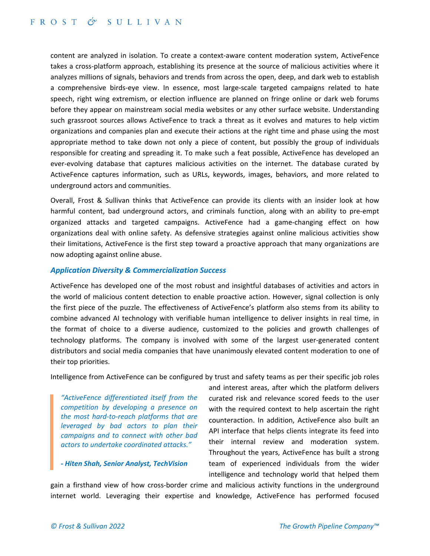content are analyzed in isolation. To create a context‐aware content moderation system, ActiveFence takes a cross‐platform approach, establishing its presence at the source of malicious activities where it analyzes millions of signals, behaviors and trends from across the open, deep, and dark web to establish a comprehensive birds‐eye view. In essence, most large‐scale targeted campaigns related to hate speech, right wing extremism, or election influence are planned on fringe online or dark web forums before they appear on mainstream social media websites or any other surface website. Understanding such grassroot sources allows ActiveFence to track a threat as it evolves and matures to help victim organizations and companies plan and execute their actions at the right time and phase using the most appropriate method to take down not only a piece of content, but possibly the group of individuals responsible for creating and spreading it. To make such a feat possible, ActiveFence has developed an ever-evolving database that captures malicious activities on the internet. The database curated by ActiveFence captures information, such as URLs, keywords, images, behaviors, and more related to underground actors and communities.

Overall, Frost & Sullivan thinks that ActiveFence can provide its clients with an insider look at how harmful content, bad underground actors, and criminals function, along with an ability to pre-empt organized attacks and targeted campaigns. ActiveFence had a game‐changing effect on how organizations deal with online safety. As defensive strategies against online malicious activities show their limitations, ActiveFence is the first step toward a proactive approach that many organizations are now adopting against online abuse.

#### *Application Diversity & Commercialization Success*

ActiveFence has developed one of the most robust and insightful databases of activities and actors in the world of malicious content detection to enable proactive action. However, signal collection is only the first piece of the puzzle. The effectiveness of ActiveFence's platform also stems from its ability to combine advanced AI technology with verifiable human intelligence to deliver insights in real time, in the format of choice to a diverse audience, customized to the policies and growth challenges of technology platforms. The company is involved with some of the largest user‐generated content distributors and social media companies that have unanimously elevated content moderation to one of their top priorities.

Intelligence from ActiveFence can be configured by trust and safety teams as per their specific job roles

*"ActiveFence differentiated itself from the competition by developing a presence on the most hard‐to‐reach platforms that are leveraged by bad actors to plan their campaigns and to connect with other bad actors to undertake coordinated attacks."*

*‐ Hiten Shah, Senior Analyst, TechVision*

and interest areas, after which the platform delivers curated risk and relevance scored feeds to the user with the required context to help ascertain the right counteraction. In addition, ActiveFence also built an API interface that helps clients integrate its feed into their internal review and moderation system. Throughout the years, ActiveFence has built a strong team of experienced individuals from the wider intelligence and technology world that helped them

gain a firsthand view of how cross-border crime and malicious activity functions in the underground internet world. Leveraging their expertise and knowledge, ActiveFence has performed focused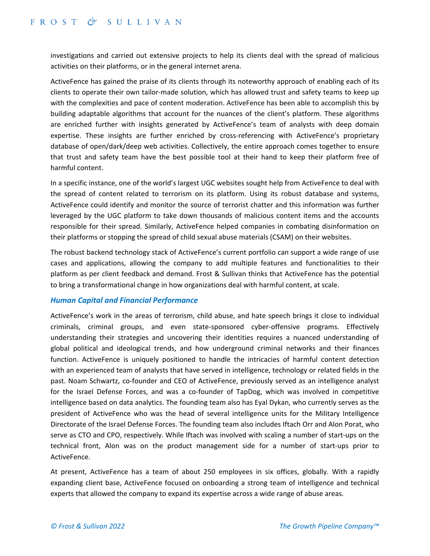investigations and carried out extensive projects to help its clients deal with the spread of malicious activities on their platforms, or in the general internet arena.

ActiveFence has gained the praise of its clients through its noteworthy approach of enabling each of its clients to operate their own tailor‐made solution, which has allowed trust and safety teams to keep up with the complexities and pace of content moderation. ActiveFence has been able to accomplish this by building adaptable algorithms that account for the nuances of the client's platform. These algorithms are enriched further with insights generated by ActiveFence's team of analysts with deep domain expertise. These insights are further enriched by cross-referencing with ActiveFence's proprietary database of open/dark/deep web activities. Collectively, the entire approach comes together to ensure that trust and safety team have the best possible tool at their hand to keep their platform free of harmful content.

In a specific instance, one of the world's largest UGC websites sought help from ActiveFence to deal with the spread of content related to terrorism on its platform. Using its robust database and systems, ActiveFence could identify and monitor the source of terrorist chatter and this information was further leveraged by the UGC platform to take down thousands of malicious content items and the accounts responsible for their spread. Similarly, ActiveFence helped companies in combating disinformation on their platforms or stopping the spread of child sexual abuse materials (CSAM) on their websites.

The robust backend technology stack of ActiveFence's current portfolio can support a wide range of use cases and applications, allowing the company to add multiple features and functionalities to their platform as per client feedback and demand. Frost & Sullivan thinks that ActiveFence has the potential to bring a transformational change in how organizations deal with harmful content, at scale.

#### *Human Capital and Financial Performance*

ActiveFence's work in the areas of terrorism, child abuse, and hate speech brings it close to individual criminals, criminal groups, and even state‐sponsored cyber‐offensive programs. Effectively understanding their strategies and uncovering their identities requires a nuanced understanding of global political and ideological trends, and how underground criminal networks and their finances function. ActiveFence is uniquely positioned to handle the intricacies of harmful content detection with an experienced team of analysts that have served in intelligence, technology or related fields in the past. Noam Schwartz, co‐founder and CEO of ActiveFence, previously served as an intelligence analyst for the Israel Defense Forces, and was a co-founder of TapDog, which was involved in competitive intelligence based on data analytics. The founding team also has Eyal Dykan, who currently serves as the president of ActiveFence who was the head of several intelligence units for the Military Intelligence Directorate of the Israel Defense Forces. The founding team also includes Iftach Orr and Alon Porat, who serve as CTO and CPO, respectively. While Iftach was involved with scaling a number of start-ups on the technical front, Alon was on the product management side for a number of start‐ups prior to ActiveFence.

At present, ActiveFence has a team of about 250 employees in six offices, globally. With a rapidly expanding client base, ActiveFence focused on onboarding a strong team of intelligence and technical experts that allowed the company to expand its expertise across a wide range of abuse areas.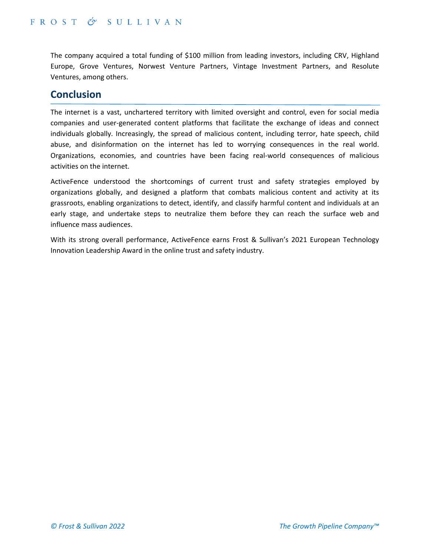The company acquired a total funding of \$100 million from leading investors, including CRV, Highland Europe, Grove Ventures, Norwest Venture Partners, Vintage Investment Partners, and Resolute Ventures, among others.

# **Conclusion**

The internet is a vast, unchartered territory with limited oversight and control, even for social media companies and user-generated content platforms that facilitate the exchange of ideas and connect individuals globally. Increasingly, the spread of malicious content, including terror, hate speech, child abuse, and disinformation on the internet has led to worrying consequences in the real world. Organizations, economies, and countries have been facing real‐world consequences of malicious activities on the internet.

ActiveFence understood the shortcomings of current trust and safety strategies employed by organizations globally, and designed a platform that combats malicious content and activity at its grassroots, enabling organizations to detect, identify, and classify harmful content and individuals at an early stage, and undertake steps to neutralize them before they can reach the surface web and influence mass audiences.

With its strong overall performance, ActiveFence earns Frost & Sullivan's 2021 European Technology Innovation Leadership Award in the online trust and safety industry.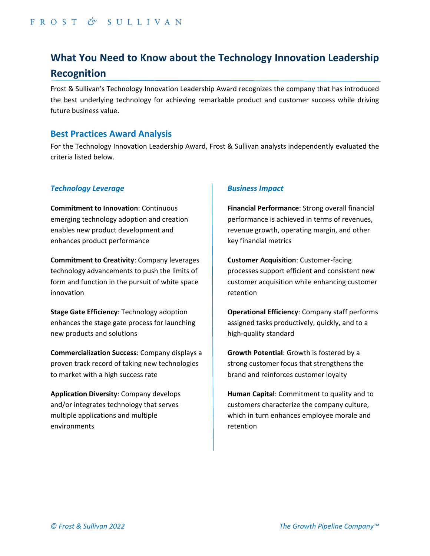# **What You Need to Know about the Technology Innovation Leadership Recognition**

Frost & Sullivan's Technology Innovation Leadership Award recognizes the company that has introduced the best underlying technology for achieving remarkable product and customer success while driving future business value.

# **Best Practices Award Analysis**

For the Technology Innovation Leadership Award, Frost & Sullivan analysts independently evaluated the criteria listed below.

#### *Technology Leverage*

**Commitment to Innovation**: Continuous emerging technology adoption and creation enables new product development and enhances product performance

**Commitment to Creativity**: Company leverages technology advancements to push the limits of form and function in the pursuit of white space innovation

**Stage Gate Efficiency**: Technology adoption enhances the stage gate process for launching new products and solutions

**Commercialization Success**: Company displays a proven track record of taking new technologies to market with a high success rate

**Application Diversity**: Company develops and/or integrates technology that serves multiple applications and multiple environments

## *Business Impact*

**Financial Performance**: Strong overall financial performance is achieved in terms of revenues, revenue growth, operating margin, and other key financial metrics

**Customer Acquisition**: Customer‐facing processes support efficient and consistent new customer acquisition while enhancing customer retention

**Operational Efficiency**: Company staff performs assigned tasks productively, quickly, and to a high‐quality standard

**Growth Potential**: Growth is fostered by a strong customer focus that strengthens the brand and reinforces customer loyalty

**Human Capital**: Commitment to quality and to customers characterize the company culture, which in turn enhances employee morale and retention